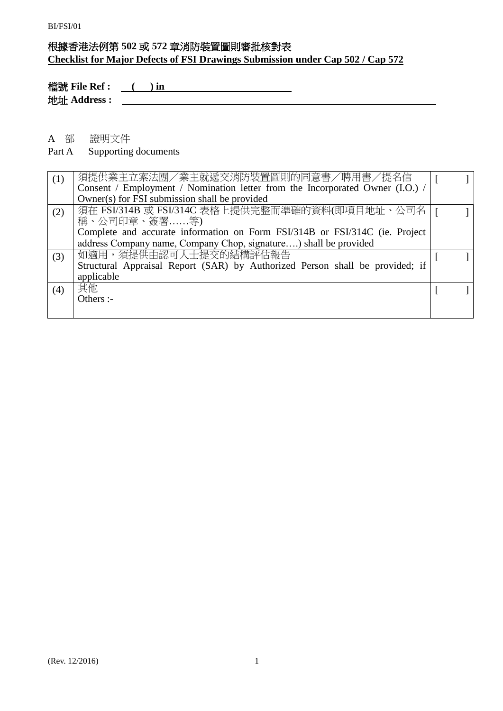### 根據香港法例第 **502** 或 **572** 章消防裝置圖則審批核對表 **Checklist for Major Defects of FSI Drawings Submission under Cap 502 / Cap 572**

**檔號 File Ref :** ( ) in 2010 2020 2021 2021 2022 2021 2022 2022 2022 2022 2022 2022 2022 2022 2022 2022 2022 2022 2022 2022 2022 2022 2023 2022 2022 2022 2023 2022 2023 2022 2023 2022 2023 2023 2023 2023 2023 2023 2023 2 地址 **Address :** 

### A 部 證明文件

#### Part A Supporting documents

| (1) | 須提供業主立案法團/業主就遞交消防裝置圖則的同意書/聘用書/提名信<br>Consent / Employment / Nomination letter from the Incorporated Owner (I.O.) / |  |
|-----|--------------------------------------------------------------------------------------------------------------------|--|
|     | Owner(s) for FSI submission shall be provided                                                                      |  |
| (2) | 須在 FSI/314B 或 FSI/314C 表格上提供完整而準確的資料(即項目地址、公司名  <br>稱、公司印章、簽署等)                                                    |  |
|     | Complete and accurate information on Form FSI/314B or FSI/314C (ie. Project                                        |  |
|     | address Company name, Company Chop, signature) shall be provided                                                   |  |
| (3) | 如適用,須提供由認可人士提交的結構評估報告                                                                                              |  |
|     | Structural Appraisal Report (SAR) by Authorized Person shall be provided; if                                       |  |
|     | applicable                                                                                                         |  |
| (4) | 其他                                                                                                                 |  |
|     | Others :-                                                                                                          |  |
|     |                                                                                                                    |  |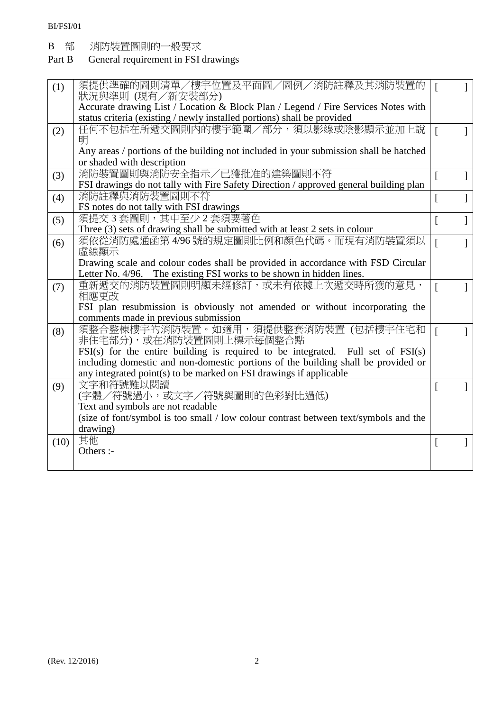B 部 消防装置圖則的一般要求<br>Part B General requirement in FSI

### General requirement in FSI drawings

| (1)  | 須提供準確的圖則清單/樓宇位置及平面圖/圖例/消防註釋及其消防裝置的                                                    | ſ                |  |
|------|---------------------------------------------------------------------------------------|------------------|--|
|      | 狀況與準則 (現有/新安裝部分)                                                                      |                  |  |
|      | Accurate drawing List / Location & Block Plan / Legend / Fire Services Notes with     |                  |  |
|      | status criteria (existing / newly installed portions) shall be provided               |                  |  |
| (2)  | 任何不包括在所遞交圖則內的樓宇範圍/部分,須以影線或陰影顯示並加上說<br>明                                               | $\sqrt{ }$       |  |
|      | Any areas / portions of the building not included in your submission shall be hatched |                  |  |
|      | or shaded with description                                                            |                  |  |
| (3)  | 消防裝置圖則與消防安全指示/已獲批准的建築圖則不符                                                             | $\left[ \right]$ |  |
|      | FSI drawings do not tally with Fire Safety Direction / approved general building plan |                  |  |
| (4)  | 消防註釋與消防裝置圖則不符                                                                         | L                |  |
|      | FS notes do not tally with FSI drawings                                               |                  |  |
| (5)  | 須提交3套圖則,其中至少2套須要著色                                                                    | L                |  |
|      | Three (3) sets of drawing shall be submitted with at least 2 sets in colour           |                  |  |
| (6)  | 須依從消防處通函第4/96號的規定圖則比例和顏色代碼。而現有消防裝置須以                                                  | $\overline{a}$   |  |
|      | 虛線顯示                                                                                  |                  |  |
|      | Drawing scale and colour codes shall be provided in accordance with FSD Circular      |                  |  |
|      | Letter No. 4/96. The existing FSI works to be shown in hidden lines.                  |                  |  |
| (7)  | 重新遞交的消防裝置圖則明顯未經修訂,或未有依據上次遞交時所獲的意見,                                                    | $\overline{a}$   |  |
|      | 相應更改                                                                                  |                  |  |
|      | FSI plan resubmission is obviously not amended or without incorporating the           |                  |  |
|      | comments made in previous submission                                                  |                  |  |
| (8)  | 須整合整棟樓宇的消防裝置。如適用,須提供整套消防裝置(包括樓宇住宅和                                                    | $\overline{a}$   |  |
|      | 非住宅部分),或在消防裝置圖則上標示每個整合點                                                               |                  |  |
|      | $FSI(s)$ for the entire building is required to be integrated. Full set of $FSI(s)$   |                  |  |
|      | including domestic and non-domestic portions of the building shall be provided or     |                  |  |
|      | any integrated point(s) to be marked on FSI drawings if applicable                    |                  |  |
| (9)  | 文字和符號難以閱讀                                                                             | L                |  |
|      | (字體/符號過小,或文字/符號與圖則的色彩對比過低)                                                            |                  |  |
|      | Text and symbols are not readable                                                     |                  |  |
|      | (size of font/symbol is too small / low colour contrast between text/symbols and the  |                  |  |
|      | drawing)                                                                              |                  |  |
| (10) | 其他                                                                                    | $\Gamma$         |  |
|      | Others :-                                                                             |                  |  |
|      |                                                                                       |                  |  |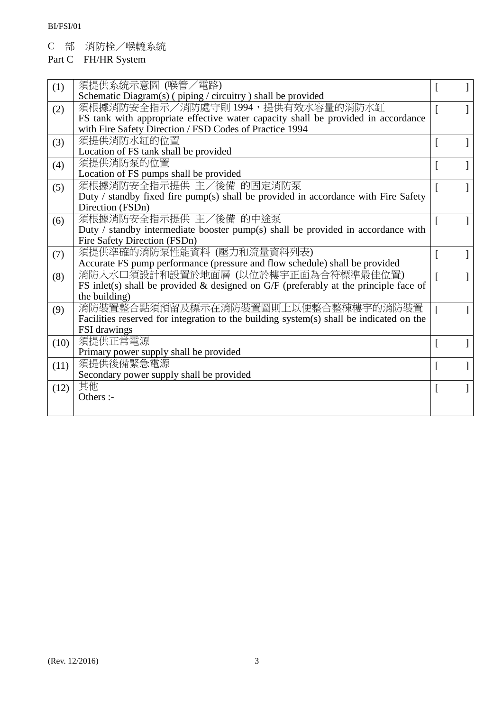C 部 消防栓/喉轆系統

## Part C FH/HR System

| (1)  | 須提供系統示意圖 (喉管/電路)                                                                        | <sup>[</sup>   |  |
|------|-----------------------------------------------------------------------------------------|----------------|--|
|      | Schematic Diagram(s) (piping / circuitry ) shall be provided                            |                |  |
| (2)  | 須根據消防安全指示/消防處守則 1994,提供有效水容量的消防水缸                                                       | ſ              |  |
|      | FS tank with appropriate effective water capacity shall be provided in accordance       |                |  |
|      | with Fire Safety Direction / FSD Codes of Practice 1994                                 |                |  |
| (3)  | 須提供消防水缸的位置                                                                              | $\overline{[}$ |  |
|      | Location of FS tank shall be provided                                                   |                |  |
| (4)  | 須提供消防泵的位置                                                                               | $\sqrt{ }$     |  |
|      | Location of FS pumps shall be provided                                                  |                |  |
| (5)  | 須根據消防安全指示提供 主/後備 的固定消防泵                                                                 |                |  |
|      | Duty / standby fixed fire pump(s) shall be provided in accordance with Fire Safety      |                |  |
|      | Direction (FSDn)                                                                        |                |  |
| (6)  | 須根據消防安全指示提供 主/後備 的中途泵                                                                   | L              |  |
|      | Duty / standby intermediate booster pump(s) shall be provided in accordance with        |                |  |
|      | Fire Safety Direction (FSDn)                                                            |                |  |
| (7)  | 須提供準確的消防泵性能資料(壓力和流量資料列表)                                                                | Ι.             |  |
|      | Accurate FS pump performance (pressure and flow schedule) shall be provided             |                |  |
| (8)  | 消防入水口須設計和設置於地面層 (以位於樓宇正面為合符標準最佳位置)                                                      |                |  |
|      | FS inlet(s) shall be provided $\&$ designed on G/F (preferably at the principle face of |                |  |
|      | the building)                                                                           |                |  |
| (9)  | 消防裝置整合點須預留及標示在消防裝置圖則上以便整合整棟樓宇的消防裝置                                                      |                |  |
|      | Facilities reserved for integration to the building system(s) shall be indicated on the |                |  |
|      | FSI drawings                                                                            |                |  |
| (10) | 須提供正常電源                                                                                 | I.             |  |
|      | Primary power supply shall be provided                                                  |                |  |
| (11) | 須提供後備緊急電源                                                                               | $\overline{a}$ |  |
|      | Secondary power supply shall be provided                                                |                |  |
| (12) | 其他                                                                                      | $\lceil$       |  |
|      | Others :-                                                                               |                |  |
|      |                                                                                         |                |  |
|      |                                                                                         |                |  |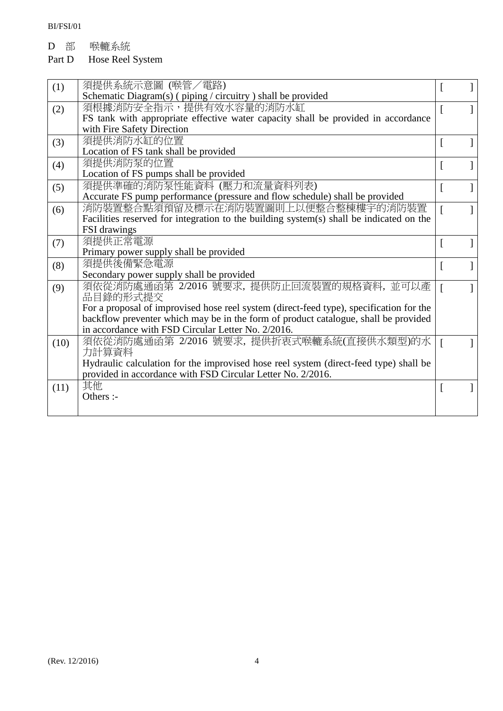D 部 喉轆系統

# Part D Hose Reel System

| (1)  | 須提供系統示意圖 (喉管/電路)                                                                        |          |  |
|------|-----------------------------------------------------------------------------------------|----------|--|
|      | Schematic Diagram(s) (piping / circuitry ) shall be provided                            |          |  |
| (2)  | 須根據消防安全指示,提供有效水容量的消防水缸                                                                  |          |  |
|      | FS tank with appropriate effective water capacity shall be provided in accordance       |          |  |
|      | with Fire Safety Direction                                                              |          |  |
| (3)  | 須提供消防水缸的位置                                                                              | $\lceil$ |  |
|      | Location of FS tank shall be provided                                                   |          |  |
| (4)  | 須提供消防泵的位置                                                                               |          |  |
|      | Location of FS pumps shall be provided                                                  |          |  |
| (5)  | 須提供準確的消防泵性能資料 (壓力和流量資料列表)                                                               |          |  |
|      | Accurate FS pump performance (pressure and flow schedule) shall be provided             |          |  |
| (6)  | 消防裝置整合點須預留及標示在消防裝置圖則上以便整合整棟樓宇的消防裝置                                                      |          |  |
|      | Facilities reserved for integration to the building system(s) shall be indicated on the |          |  |
|      | FSI drawings                                                                            |          |  |
| (7)  | 須提供正常電源                                                                                 | I.       |  |
|      | Primary power supply shall be provided                                                  |          |  |
| (8)  | 須提供後備緊急電源                                                                               |          |  |
|      | Secondary power supply shall be provided                                                |          |  |
| (9)  | 須依從消防處通函第 2/2016 號要求, 提供防止回流裝置的規格資料, 並可以產                                               |          |  |
|      | 品目錄的形式提交                                                                                |          |  |
|      | For a proposal of improvised hose reel system (direct-feed type), specification for the |          |  |
|      | backflow preventer which may be in the form of product catalogue, shall be provided     |          |  |
|      | in accordance with FSD Circular Letter No. 2/2016.                                      |          |  |
| (10) | 須依從消防處通函第 2/2016 號要求, 提供折衷式喉轆系統(直接供水類型)的水                                               |          |  |
|      | 力計算資料                                                                                   |          |  |
|      | Hydraulic calculation for the improvised hose reel system (direct-feed type) shall be   |          |  |
|      | provided in accordance with FSD Circular Letter No. 2/2016.                             |          |  |
| (11) | 其他                                                                                      |          |  |
|      | Others :-                                                                               |          |  |
|      |                                                                                         |          |  |
|      |                                                                                         |          |  |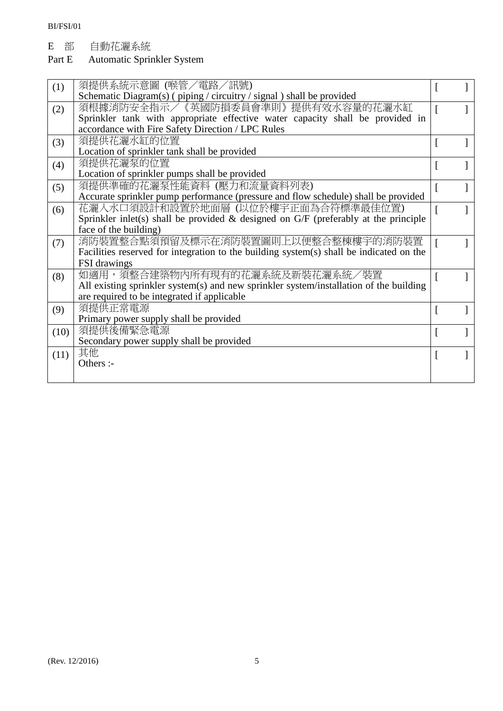E 部 自動花灑系統

### Part E Automatic Sprinkler System

| (1)  | 須提供系統示意圖 (喉管/電路/訊號)                                                                     |          |  |
|------|-----------------------------------------------------------------------------------------|----------|--|
|      | Schematic Diagram(s) (piping / circuitry / signal) shall be provided                    |          |  |
| (2)  | 須根據消防安全指示/《英國防損委員會準則》提供有效水容量的花灑水缸                                                       |          |  |
|      | Sprinkler tank with appropriate effective water capacity shall be provided in           |          |  |
|      | accordance with Fire Safety Direction / LPC Rules                                       |          |  |
| (3)  | 須提供花灑水缸的位置                                                                              |          |  |
|      | Location of sprinkler tank shall be provided                                            |          |  |
| (4)  | 須提供花灑泵的位置                                                                               | $\lceil$ |  |
|      | Location of sprinkler pumps shall be provided                                           |          |  |
| (5)  | 須提供準確的花灑泵性能資料 (壓力和流量資料列表)                                                               |          |  |
|      | Accurate sprinkler pump performance (pressure and flow schedule) shall be provided      |          |  |
| (6)  | 花灑入水口須設計和設置於地面層(以位於樓宇正面為合符標準最佳位置)                                                       |          |  |
|      | Sprinkler inlet(s) shall be provided & designed on $G/F$ (preferably at the principle   |          |  |
|      | face of the building)                                                                   |          |  |
| (7)  | 消防裝置整合點須預留及標示在消防裝置圖則上以便整合整棟樓宇的消防裝置                                                      |          |  |
|      | Facilities reserved for integration to the building system(s) shall be indicated on the |          |  |
|      | FSI drawings                                                                            |          |  |
| (8)  | 如適用,須整合建築物內所有現有的花灑系統及新裝花灑系統/裝置                                                          |          |  |
|      | All existing sprinkler system(s) and new sprinkler system/installation of the building  |          |  |
|      | are required to be integrated if applicable                                             |          |  |
| (9)  | 須提供正常電源                                                                                 |          |  |
|      | Primary power supply shall be provided                                                  |          |  |
| (10) | 須提供後備緊急電源                                                                               |          |  |
|      | Secondary power supply shall be provided                                                |          |  |
| (11) | 其他                                                                                      |          |  |
|      | Others :-                                                                               |          |  |
|      |                                                                                         |          |  |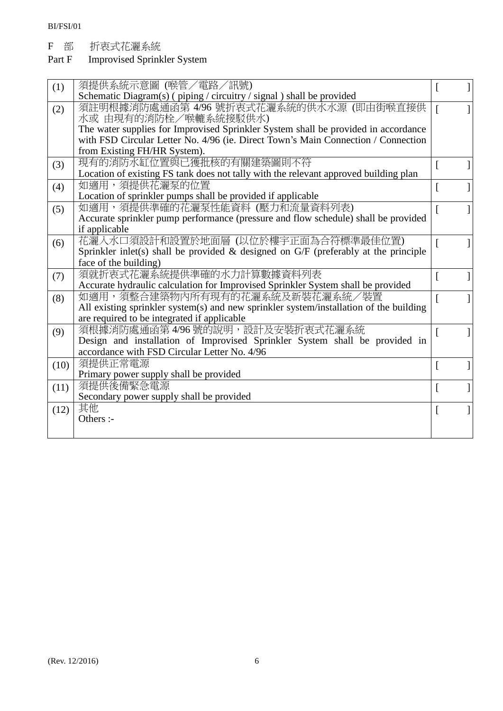F 部 折衷式花灑系統

### Part F Improvised Sprinkler System

| (1)  | 須提供系統示意圖 (喉管/電路/訊號)<br>Schematic Diagram(s) (piping / circuitry / signal) shall be provided |                |  |
|------|---------------------------------------------------------------------------------------------|----------------|--|
| (2)  | 須註明根據消防處通函第 4/96 號折衷式花灑系統的供水水源 (即由街喉直接供                                                     | ſ              |  |
|      | 水或 由現有的消防栓/喉轆系統接駁供水)                                                                        |                |  |
|      | The water supplies for Improvised Sprinkler System shall be provided in accordance          |                |  |
|      | with FSD Circular Letter No. 4/96 (ie. Direct Town's Main Connection / Connection           |                |  |
|      | from Existing FH/HR System).                                                                |                |  |
| (3)  | 現有的消防水缸位置與已獲批核的有關建築圖則不符                                                                     | $\overline{a}$ |  |
|      | Location of existing FS tank does not tally with the relevant approved building plan        |                |  |
| (4)  | 如適用,須提供花灑泵的位置                                                                               | ſ              |  |
|      | Location of sprinkler pumps shall be provided if applicable                                 |                |  |
| (5)  | 如適用,須提供準確的花灑泵性能資料 (壓力和流量資料列表)                                                               | ſ              |  |
|      | Accurate sprinkler pump performance (pressure and flow schedule) shall be provided          |                |  |
|      | if applicable                                                                               |                |  |
| (6)  | 花灑入水口須設計和設置於地面層 (以位於樓宇正面為合符標準最佳位置)                                                          | ſ              |  |
|      | Sprinkler inlet(s) shall be provided $\&$ designed on G/F (preferably at the principle      |                |  |
|      | face of the building)                                                                       |                |  |
| (7)  | 須就折衷式花灑系統提供準確的水力計算數據資料列表                                                                    | ſ              |  |
|      | Accurate hydraulic calculation for Improvised Sprinkler System shall be provided            |                |  |
| (8)  | 如適用,須整合建築物內所有現有的花灑系統及新裝花灑系統/裝置                                                              | ſ              |  |
|      | All existing sprinkler system(s) and new sprinkler system/installation of the building      |                |  |
|      | are required to be integrated if applicable                                                 |                |  |
| (9)  | 須根據消防處通函第4/96號的說明,設計及安裝折衷式花灑系統                                                              | ſ              |  |
|      | Design and installation of Improvised Sprinkler System shall be provided in                 |                |  |
|      | accordance with FSD Circular Letter No. 4/96                                                |                |  |
| (10) | 須提供正常電源                                                                                     | ſ              |  |
|      | Primary power supply shall be provided<br>須提供後備緊急電源                                         |                |  |
| (11) |                                                                                             | ſ              |  |
|      | Secondary power supply shall be provided                                                    |                |  |
| (12) | 其他<br>Others :-                                                                             | $\overline{[}$ |  |
|      |                                                                                             |                |  |
|      |                                                                                             |                |  |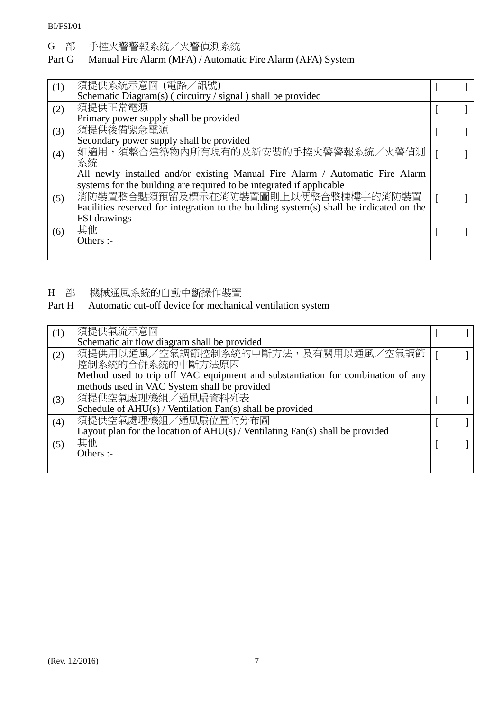BI/FSI/01

G 部 手控火警警報系統/火警偵測系統

### Part G Manual Fire Alarm (MFA) / Automatic Fire Alarm (AFA) System

| (1) | 須提供系統示意圖 (電路/訊號)<br>Schematic Diagram(s) (circuitry / signal) shall be provided                                               |  |
|-----|-------------------------------------------------------------------------------------------------------------------------------|--|
| (2) | 須提供正常電源                                                                                                                       |  |
| (3) | Primary power supply shall be provided<br>須提供後備緊急電源                                                                           |  |
| (4) | Secondary power supply shall be provided<br>如適用,須整合建築物內所有現有的及新安裝的手控火警警報系統/火警偵測                                                |  |
|     | 系統<br>All newly installed and/or existing Manual Fire Alarm / Automatic Fire Alarm                                            |  |
|     | systems for the building are required to be integrated if applicable                                                          |  |
| (5) | 消防裝置整合點須預留及標示在消防裝置圖則上以便整合整棟樓宇的消防裝置<br>Facilities reserved for integration to the building system(s) shall be indicated on the |  |
|     | <b>FSI</b> drawings<br>其他                                                                                                     |  |
| (6) | Others :-                                                                                                                     |  |
|     |                                                                                                                               |  |

H 部 機械通風系統的自動中斷操作裝置<br>Part H Automatic cut-off device for mechanic

## Automatic cut-off device for mechanical ventilation system

| (1) | 須提供氣流示意圖                                                                        |  |
|-----|---------------------------------------------------------------------------------|--|
|     | Schematic air flow diagram shall be provided                                    |  |
| (2) | 須提供用以通風/空氣調節控制系統的中斷方法,及有關用以通風/空氣調節                                              |  |
|     | 控制系統的合併系統的中斷方法原因                                                                |  |
|     | Method used to trip off VAC equipment and substantiation for combination of any |  |
|     | methods used in VAC System shall be provided                                    |  |
| (3) | 須提供空氣處理機組/通風扇資料列表                                                               |  |
|     | Schedule of $AHU(s)$ / Ventilation Fan(s) shall be provided                     |  |
| (4) | 須提供空氣處理機組/通風扇位置的分布圖                                                             |  |
|     | Layout plan for the location of $AHU(s)$ / Ventilating Fan(s) shall be provided |  |
| (5) | 其他                                                                              |  |
|     | Others :-                                                                       |  |
|     |                                                                                 |  |